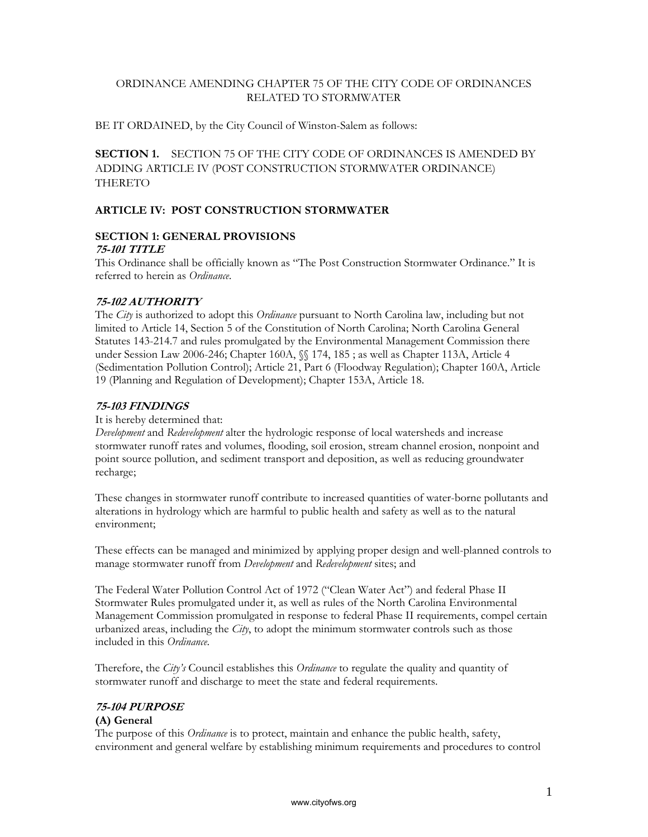# ORDINANCE AMENDING CHAPTER 75 OF THE CITY CODE OF ORDINANCES RELATED TO STORMWATER

BE IT ORDAINED, by the City Council of Winston-Salem as follows:

**SECTION 1.** SECTION 75 OF THE CITY CODE OF ORDINANCES IS AMENDED BY ADDING ARTICLE IV (POST CONSTRUCTION STORMWATER ORDINANCE) THERETO

# **ARTICLE IV: POST CONSTRUCTION STORMWATER**

#### **SECTION 1: GENERAL PROVISIONS 75-101 TITLE**

This Ordinance shall be officially known as "The Post Construction Stormwater Ordinance." It is referred to herein as *Ordinance*.

# **75-102 AUTHORITY**

The *City* is authorized to adopt this *Ordinance* pursuant to North Carolina law, including but not limited to Article 14, Section 5 of the Constitution of North Carolina; North Carolina General Statutes 143-214.7 and rules promulgated by the Environmental Management Commission there under Session Law 2006-246; Chapter 160A, §§ 174, 185 ; as well as Chapter 113A, Article 4 (Sedimentation Pollution Control); Article 21, Part 6 (Floodway Regulation); Chapter 160A, Article 19 (Planning and Regulation of Development); Chapter 153A, Article 18.

# **75-103 FINDINGS**

# It is hereby determined that:

*Development* and *Redevelopment* alter the hydrologic response of local watersheds and increase stormwater runoff rates and volumes, flooding, soil erosion, stream channel erosion, nonpoint and point source pollution, and sediment transport and deposition, as well as reducing groundwater recharge;

These changes in stormwater runoff contribute to increased quantities of water-borne pollutants and alterations in hydrology which are harmful to public health and safety as well as to the natural environment;

These effects can be managed and minimized by applying proper design and well-planned controls to manage stormwater runoff from *Development* and *Redevelopment* sites; and

The Federal Water Pollution Control Act of 1972 ("Clean Water Act") and federal Phase II Stormwater Rules promulgated under it, as well as rules of the North Carolina Environmental Management Commission promulgated in response to federal Phase II requirements, compel certain urbanized areas, including the *City*, to adopt the minimum stormwater controls such as those included in this *Ordinance*.

Therefore, the *City's* Council establishes this *Ordinance* to regulate the quality and quantity of stormwater runoff and discharge to meet the state and federal requirements.

# **75-104 PURPOSE**

# **(A) General**

The purpose of this *Ordinance* is to protect, maintain and enhance the public health, safety, environment and general welfare by establishing minimum requirements and procedures to control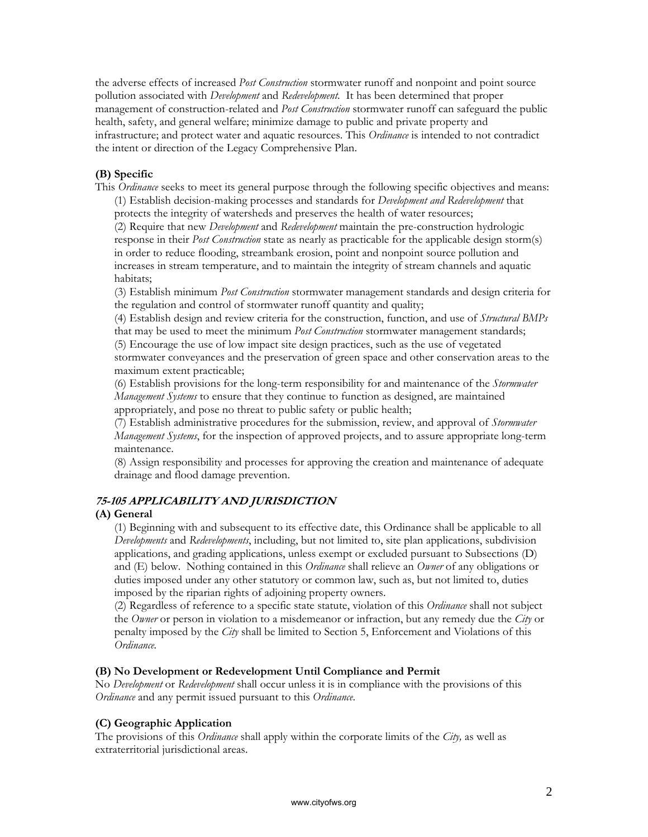the adverse effects of increased *Post Construction* stormwater runoff and nonpoint and point source pollution associated with *Development* and *Redevelopment*. It has been determined that proper management of construction-related and *Post Construction* stormwater runoff can safeguard the public health, safety, and general welfare; minimize damage to public and private property and infrastructure; and protect water and aquatic resources. This *Ordinance* is intended to not contradict the intent or direction of the Legacy Comprehensive Plan.

# **(B) Specific**

This *Ordinance* seeks to meet its general purpose through the following specific objectives and means: (1) Establish decision-making processes and standards for *Development and Redevelopment* that protects the integrity of watersheds and preserves the health of water resources;

(2) Require that new *Development* and *Redevelopment* maintain the pre-construction hydrologic response in their *Post Construction* state as nearly as practicable for the applicable design storm(s) in order to reduce flooding, streambank erosion, point and nonpoint source pollution and increases in stream temperature, and to maintain the integrity of stream channels and aquatic habitats;

(3) Establish minimum *Post Construction* stormwater management standards and design criteria for the regulation and control of stormwater runoff quantity and quality;

(4) Establish design and review criteria for the construction, function, and use of *Structural BMPs*  that may be used to meet the minimum *Post Construction* stormwater management standards; (5) Encourage the use of low impact site design practices, such as the use of vegetated stormwater conveyances and the preservation of green space and other conservation areas to the maximum extent practicable;

(6) Establish provisions for the long-term responsibility for and maintenance of the *Stormwater Management Systems* to ensure that they continue to function as designed, are maintained appropriately, and pose no threat to public safety or public health;

(7) Establish administrative procedures for the submission, review, and approval of *Stormwater Management Systems*, for the inspection of approved projects, and to assure appropriate long-term maintenance.

(8) Assign responsibility and processes for approving the creation and maintenance of adequate drainage and flood damage prevention.

# **75-105 APPLICABILITY AND JURISDICTION**

# **(A) General**

(1) Beginning with and subsequent to its effective date, this Ordinance shall be applicable to all *Developments* and *Redevelopments*, including, but not limited to, site plan applications, subdivision applications, and grading applications, unless exempt or excluded pursuant to Subsections (D) and (E) below. Nothing contained in this *Ordinance* shall relieve an *Owner* of any obligations or duties imposed under any other statutory or common law, such as, but not limited to, duties imposed by the riparian rights of adjoining property owners.

(2) Regardless of reference to a specific state statute, violation of this *Ordinance* shall not subject the *Owner* or person in violation to a misdemeanor or infraction, but any remedy due the *City* or penalty imposed by the *City* shall be limited to Section 5, Enforcement and Violations of this *Ordinance.* 

# **(B) No Development or Redevelopment Until Compliance and Permit**

No *Development* or *Redevelopment* shall occur unless it is in compliance with the provisions of this *Ordinance* and any permit issued pursuant to this *Ordinance*.

# **(C) Geographic Application**

The provisions of this *Ordinance* shall apply within the corporate limits of the *City,* as well as extraterritorial jurisdictional areas.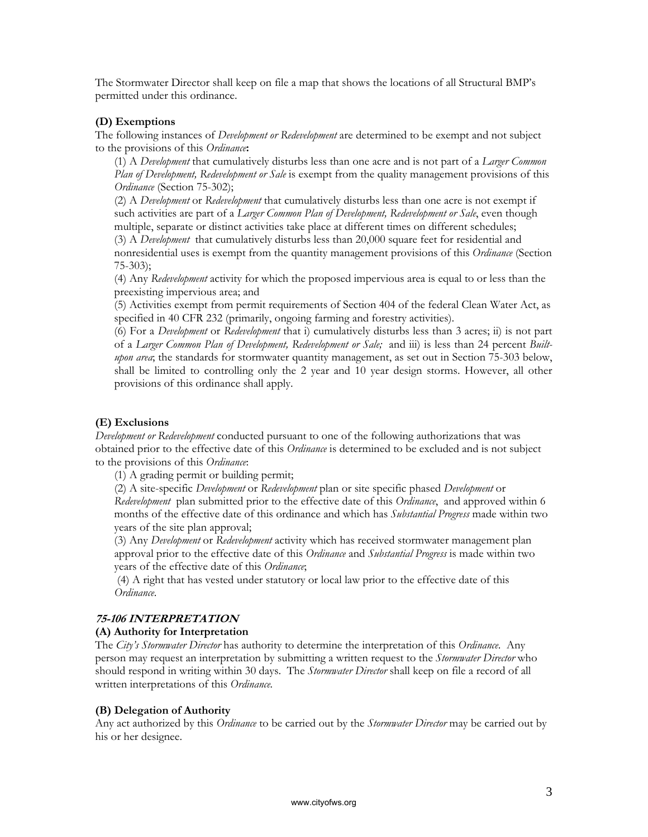The Stormwater Director shall keep on file a map that shows the locations of all Structural BMP's permitted under this ordinance.

#### **(D) Exemptions**

The following instances of *Development or Redevelopment* are determined to be exempt and not subject to the provisions of this *Ordinance***:**

(1) A *Development* that cumulatively disturbs less than one acre and is not part of a *Larger Common Plan of Development, Redevelopment or Sale* is exempt from the quality management provisions of this *Ordinance* (Section 75-302);

(2) A *Development* or *Redevelopment* that cumulatively disturbs less than one acre is not exempt if such activities are part of a *Larger Common Plan of Development, Redevelopment or Sale*, even though multiple, separate or distinct activities take place at different times on different schedules; (3) A *Development* that cumulatively disturbs less than 20,000 square feet for residential and nonresidential uses is exempt from the quantity management provisions of this *Ordinance* (Section 75-303);

(4) Any *Redevelopment* activity for which the proposed impervious area is equal to or less than the preexisting impervious area; and

(5) Activities exempt from permit requirements of Section 404 of the federal Clean Water Act, as specified in 40 CFR 232 (primarily, ongoing farming and forestry activities).

(6) For a *Development* or *Redevelopment* that i) cumulatively disturbs less than 3 acres; ii) is not part of a *Larger Common Plan of Development, Redevelopment or Sale;* and iii) is less than 24 percent *Builtupon area*; the standards for stormwater quantity management, as set out in Section 75-303 below, shall be limited to controlling only the 2 year and 10 year design storms. However, all other provisions of this ordinance shall apply.

#### **(E) Exclusions**

*Development or Redevelopment* conducted pursuant to one of the following authorizations that was obtained prior to the effective date of this *Ordinance* is determined to be excluded and is not subject to the provisions of this *Ordinance*:

(1) A grading permit or building permit;

(2) A site-specific *Development* or *Redevelopment* plan or site specific phased *Development* or *Redevelopment* plan submitted prior to the effective date of this *Ordinance*, and approved within 6 months of the effective date of this ordinance and which has *Substantial Progress* made within two years of the site plan approval;

(3) Any *Development* or *Redevelopment* activity which has received stormwater management plan approval prior to the effective date of this *Ordinance* and *Substantial Progress* is made within two years of the effective date of this *Ordinance*;

 (4) A right that has vested under statutory or local law prior to the effective date of this *Ordinance*.

#### **75-106 INTERPRETATION**

#### **(A) Authority for Interpretation**

The *City's Stormwater Director* has authority to determine the interpretation of this *Ordinance*. Any person may request an interpretation by submitting a written request to the *Stormwater Director* who should respond in writing within 30 days. The *Stormwater Director* shall keep on file a record of all written interpretations of this *Ordinance.*

#### **(B) Delegation of Authority**

Any act authorized by this *Ordinance* to be carried out by the *Stormwater Director* may be carried out by his or her designee.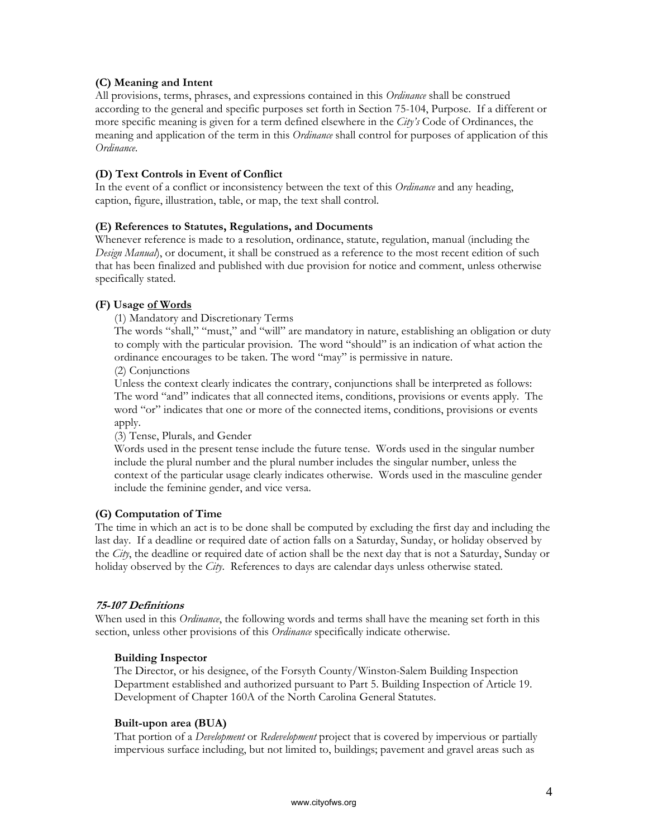# **(C) Meaning and Intent**

All provisions, terms, phrases, and expressions contained in this *Ordinance* shall be construed according to the general and specific purposes set forth in Section 75-104, Purpose. If a different or more specific meaning is given for a term defined elsewhere in the *City's* Code of Ordinances, the meaning and application of the term in this *Ordinance* shall control for purposes of application of this *Ordinance*.

# **(D) Text Controls in Event of Conflict**

In the event of a conflict or inconsistency between the text of this *Ordinance* and any heading, caption, figure, illustration, table, or map, the text shall control.

### **(E) References to Statutes, Regulations, and Documents**

Whenever reference is made to a resolution, ordinance, statute, regulation, manual (including the *Design Manual*), or document, it shall be construed as a reference to the most recent edition of such that has been finalized and published with due provision for notice and comment, unless otherwise specifically stated.

# **(F) Usage of Words**

(1) Mandatory and Discretionary Terms

The words "shall," "must," and "will" are mandatory in nature, establishing an obligation or duty to comply with the particular provision. The word "should" is an indication of what action the ordinance encourages to be taken. The word "may" is permissive in nature.

(2) Conjunctions

Unless the context clearly indicates the contrary, conjunctions shall be interpreted as follows: The word "and" indicates that all connected items, conditions, provisions or events apply. The word "or" indicates that one or more of the connected items, conditions, provisions or events apply.

(3) Tense, Plurals, and Gender

Words used in the present tense include the future tense. Words used in the singular number include the plural number and the plural number includes the singular number, unless the context of the particular usage clearly indicates otherwise. Words used in the masculine gender include the feminine gender, and vice versa.

#### **(G) Computation of Time**

The time in which an act is to be done shall be computed by excluding the first day and including the last day. If a deadline or required date of action falls on a Saturday, Sunday, or holiday observed by the *City*, the deadline or required date of action shall be the next day that is not a Saturday, Sunday or holiday observed by the *City*. References to days are calendar days unless otherwise stated.

#### **75-107 Definitions**

When used in this *Ordinance*, the following words and terms shall have the meaning set forth in this section, unless other provisions of this *Ordinance* specifically indicate otherwise.

#### **Building Inspector**

The Director, or his designee, of the Forsyth County/Winston-Salem Building Inspection Department established and authorized pursuant to Part 5. Building Inspection of Article 19. Development of Chapter 160A of the North Carolina General Statutes.

#### **Built-upon area (BUA)**

That portion of a *Development* or *Redevelopment* project that is covered by impervious or partially impervious surface including, but not limited to, buildings; pavement and gravel areas such as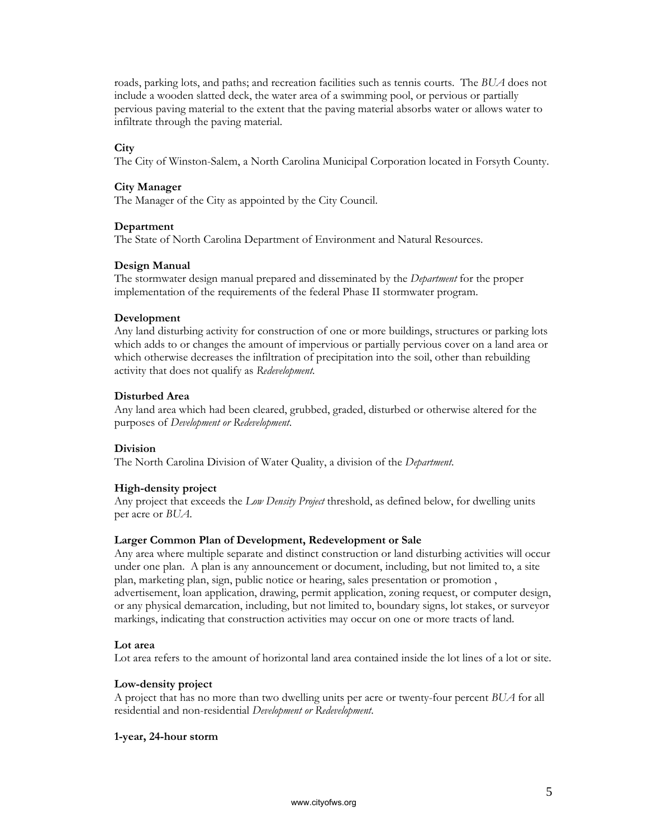roads, parking lots, and paths; and recreation facilities such as tennis courts. The *BUA* does not include a wooden slatted deck, the water area of a swimming pool, or pervious or partially pervious paving material to the extent that the paving material absorbs water or allows water to infiltrate through the paving material.

#### **City**

The City of Winston-Salem, a North Carolina Municipal Corporation located in Forsyth County.

#### **City Manager**

The Manager of the City as appointed by the City Council.

#### **Department**

The State of North Carolina Department of Environment and Natural Resources.

#### **Design Manual**

The stormwater design manual prepared and disseminated by the *Department* for the proper implementation of the requirements of the federal Phase II stormwater program.

#### **Development**

Any land disturbing activity for construction of one or more buildings, structures or parking lots which adds to or changes the amount of impervious or partially pervious cover on a land area or which otherwise decreases the infiltration of precipitation into the soil, other than rebuilding activity that does not qualify as *Redevelopment*.

#### **Disturbed Area**

Any land area which had been cleared, grubbed, graded, disturbed or otherwise altered for the purposes of *Development or Redevelopment*.

#### **Division**

The North Carolina Division of Water Quality, a division of the *Department*.

#### **High-density project**

Any project that exceeds the *Low Density Project* threshold, as defined below, for dwelling units per acre or *BUA*.

#### **Larger Common Plan of Development, Redevelopment or Sale**

Any area where multiple separate and distinct construction or land disturbing activities will occur under one plan. A plan is any announcement or document, including, but not limited to, a site plan, marketing plan, sign, public notice or hearing, sales presentation or promotion , advertisement, loan application, drawing, permit application, zoning request, or computer design, or any physical demarcation, including, but not limited to, boundary signs, lot stakes, or surveyor markings, indicating that construction activities may occur on one or more tracts of land.

#### **Lot area**

Lot area refers to the amount of horizontal land area contained inside the lot lines of a lot or site.

#### **Low-density project**

A project that has no more than two dwelling units per acre or twenty-four percent *BUA* for all residential and non-residential *Development or Redevelopment*.

#### **1-year, 24-hour storm**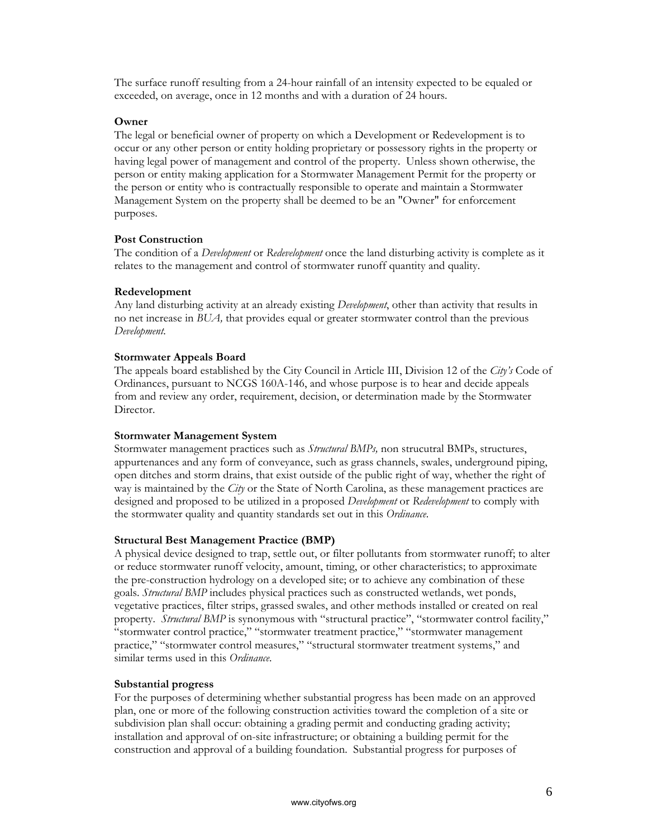The surface runoff resulting from a 24-hour rainfall of an intensity expected to be equaled or exceeded, on average, once in 12 months and with a duration of 24 hours.

#### **Owner**

The legal or beneficial owner of property on which a Development or Redevelopment is to occur or any other person or entity holding proprietary or possessory rights in the property or having legal power of management and control of the property. Unless shown otherwise, the person or entity making application for a Stormwater Management Permit for the property or the person or entity who is contractually responsible to operate and maintain a Stormwater Management System on the property shall be deemed to be an "Owner" for enforcement purposes.

### **Post Construction**

The condition of a *Development* or *Redevelopment* once the land disturbing activity is complete as it relates to the management and control of stormwater runoff quantity and quality.

### **Redevelopment**

Any land disturbing activity at an already existing *Development*, other than activity that results in no net increase in *BUA,* that provides equal or greater stormwater control than the previous *Development*.

### **Stormwater Appeals Board**

The appeals board established by the City Council in Article III, Division 12 of the *City's* Code of Ordinances, pursuant to NCGS 160A-146, and whose purpose is to hear and decide appeals from and review any order, requirement, decision, or determination made by the Stormwater Director.

#### **Stormwater Management System**

Stormwater management practices such as *Structural BMPs,* non strucutral BMPs, structures, appurtenances and any form of conveyance, such as grass channels, swales, underground piping, open ditches and storm drains, that exist outside of the public right of way, whether the right of way is maintained by the *City* or the State of North Carolina, as these management practices are designed and proposed to be utilized in a proposed *Development* or *Redevelopment* to comply with the stormwater quality and quantity standards set out in this *Ordinance*.

# **Structural Best Management Practice (BMP)**

A physical device designed to trap, settle out, or filter pollutants from stormwater runoff; to alter or reduce stormwater runoff velocity, amount, timing, or other characteristics; to approximate the pre-construction hydrology on a developed site; or to achieve any combination of these goals. *Structural BMP* includes physical practices such as constructed wetlands, wet ponds, vegetative practices, filter strips, grassed swales, and other methods installed or created on real property. *Structural BMP* is synonymous with "structural practice", "stormwater control facility," "stormwater control practice," "stormwater treatment practice," "stormwater management practice," "stormwater control measures," "structural stormwater treatment systems," and similar terms used in this *Ordinance*.

#### **Substantial progress**

For the purposes of determining whether substantial progress has been made on an approved plan, one or more of the following construction activities toward the completion of a site or subdivision plan shall occur: obtaining a grading permit and conducting grading activity; installation and approval of on-site infrastructure; or obtaining a building permit for the construction and approval of a building foundation. Substantial progress for purposes of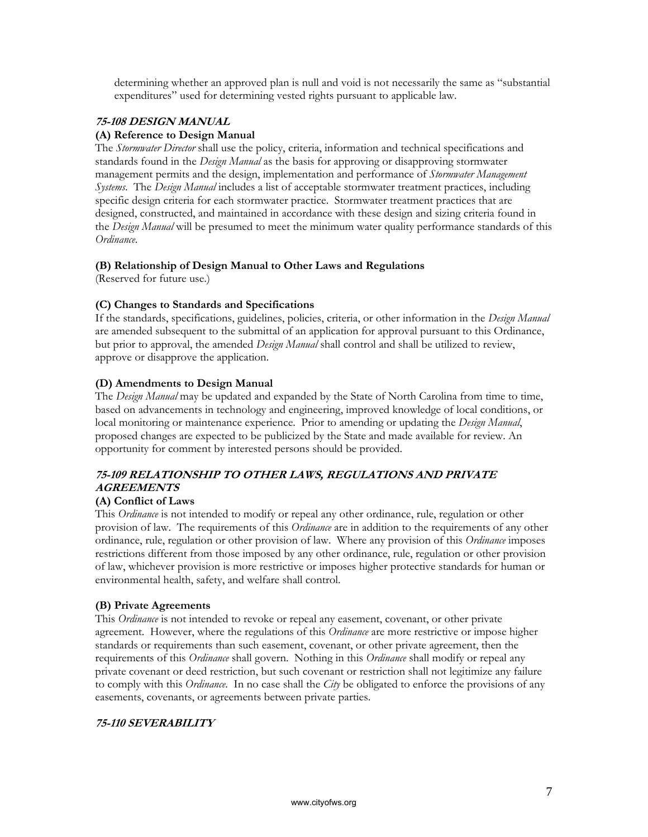determining whether an approved plan is null and void is not necessarily the same as "substantial expenditures" used for determining vested rights pursuant to applicable law.

# **75-108 DESIGN MANUAL**

# **(A) Reference to Design Manual**

The *Stormwater Director* shall use the policy, criteria, information and technical specifications and standards found in the *Design Manual* as the basis for approving or disapproving stormwater management permits and the design, implementation and performance of *Stormwater Management Systems*. The *Design Manual* includes a list of acceptable stormwater treatment practices, including specific design criteria for each stormwater practice. Stormwater treatment practices that are designed, constructed, and maintained in accordance with these design and sizing criteria found in the *Design Manual* will be presumed to meet the minimum water quality performance standards of this *Ordinance*.

# **(B) Relationship of Design Manual to Other Laws and Regulations**

(Reserved for future use.)

# **(C) Changes to Standards and Specifications**

If the standards, specifications, guidelines, policies, criteria, or other information in the *Design Manual*  are amended subsequent to the submittal of an application for approval pursuant to this Ordinance, but prior to approval, the amended *Design Manual* shall control and shall be utilized to review, approve or disapprove the application.

# **(D) Amendments to Design Manual**

The *Design Manual* may be updated and expanded by the State of North Carolina from time to time, based on advancements in technology and engineering, improved knowledge of local conditions, or local monitoring or maintenance experience. Prior to amending or updating the *Design Manual*, proposed changes are expected to be publicized by the State and made available for review. An opportunity for comment by interested persons should be provided.

# **75-109 RELATIONSHIP TO OTHER LAWS, REGULATIONS AND PRIVATE AGREEMENTS**

# **(A) Conflict of Laws**

This *Ordinance* is not intended to modify or repeal any other ordinance, rule, regulation or other provision of law. The requirements of this *Ordinance* are in addition to the requirements of any other ordinance, rule, regulation or other provision of law. Where any provision of this *Ordinance* imposes restrictions different from those imposed by any other ordinance, rule, regulation or other provision of law, whichever provision is more restrictive or imposes higher protective standards for human or environmental health, safety, and welfare shall control.

#### **(B) Private Agreements**

This *Ordinance* is not intended to revoke or repeal any easement, covenant, or other private agreement. However, where the regulations of this *Ordinance* are more restrictive or impose higher standards or requirements than such easement, covenant, or other private agreement, then the requirements of this *Ordinance* shall govern. Nothing in this *Ordinance* shall modify or repeal any private covenant or deed restriction, but such covenant or restriction shall not legitimize any failure to comply with this *Ordinance*. In no case shall the *City* be obligated to enforce the provisions of any easements, covenants, or agreements between private parties.

# **75-110 SEVERABILITY**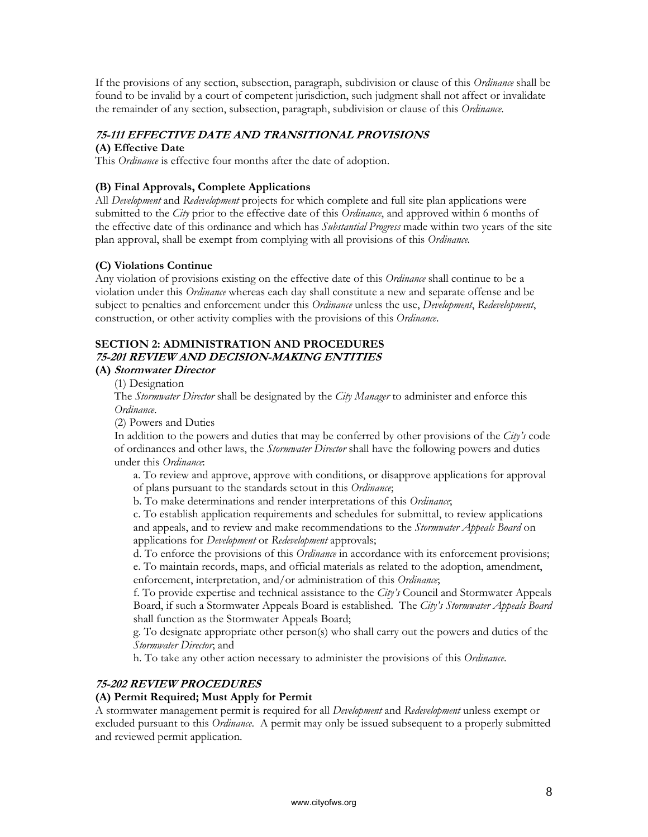If the provisions of any section, subsection, paragraph, subdivision or clause of this *Ordinance* shall be found to be invalid by a court of competent jurisdiction, such judgment shall not affect or invalidate the remainder of any section, subsection, paragraph, subdivision or clause of this *Ordinance*.

# **75-111 EFFECTIVE DATE AND TRANSITIONAL PROVISIONS**

# **(A) Effective Date**

This *Ordinance* is effective four months after the date of adoption.

### **(B) Final Approvals, Complete Applications**

All *Development* and *Redevelopment* projects for which complete and full site plan applications were submitted to the *City* prior to the effective date of this *Ordinance*, and approved within 6 months of the effective date of this ordinance and which has *Substantial Progress* made within two years of the site plan approval, shall be exempt from complying with all provisions of this *Ordinance.*

### **(C) Violations Continue**

Any violation of provisions existing on the effective date of this *Ordinance* shall continue to be a violation under this *Ordinance* whereas each day shall constitute a new and separate offense and be subject to penalties and enforcement under this *Ordinance* unless the use, *Development*, *Redevelopment*, construction, or other activity complies with the provisions of this *Ordinance*.

# **SECTION 2: ADMINISTRATION AND PROCEDURES 75-201 REVIEW AND DECISION-MAKING ENTITIES**

### **(A) Stormwater Director**

(1) Designation

The *Stormwater Director* shall be designated by the *City Manager* to administer and enforce this *Ordinance*.

(2) Powers and Duties

In addition to the powers and duties that may be conferred by other provisions of the *City's* code of ordinances and other laws, the *Stormwater Director* shall have the following powers and duties under this *Ordinance*:

a. To review and approve, approve with conditions, or disapprove applications for approval of plans pursuant to the standards setout in this *Ordinance*;

b. To make determinations and render interpretations of this *Ordinance*;

c. To establish application requirements and schedules for submittal, to review applications and appeals, and to review and make recommendations to the *Stormwater Appeals Board* on applications for *Development* or *Redevelopment* approvals;

d. To enforce the provisions of this *Ordinance* in accordance with its enforcement provisions; e. To maintain records, maps, and official materials as related to the adoption, amendment, enforcement, interpretation, and/or administration of this *Ordinance*;

f. To provide expertise and technical assistance to the *City's* Council and Stormwater Appeals Board, if such a Stormwater Appeals Board is established. The *City's Stormwater Appeals Board* shall function as the Stormwater Appeals Board;

g. To designate appropriate other person(s) who shall carry out the powers and duties of the *Stormwater Director*; and

h. To take any other action necessary to administer the provisions of this *Ordinance*.

# **75-202 REVIEW PROCEDURES**

# **(A) Permit Required; Must Apply for Permit**

A stormwater management permit is required for all *Development* and *Redevelopment* unless exempt or excluded pursuant to this *Ordinance*. A permit may only be issued subsequent to a properly submitted and reviewed permit application.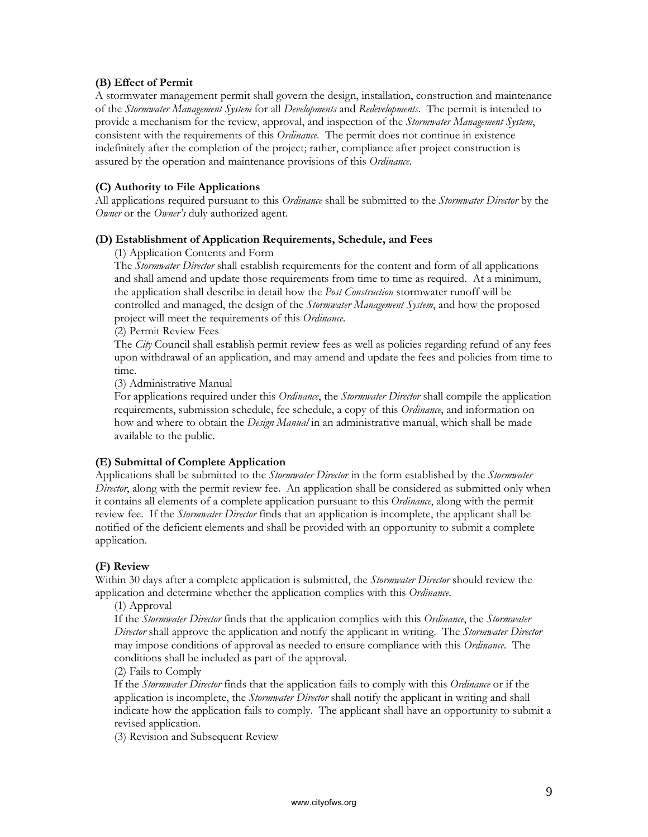### **(B) Effect of Permit**

A stormwater management permit shall govern the design, installation, construction and maintenance of the *Stormwater Management System* for all *Developments* and *Redevelopments*. The permit is intended to provide a mechanism for the review, approval, and inspection of the *Stormwater Management System*, consistent with the requirements of this *Ordinance*. The permit does not continue in existence indefinitely after the completion of the project; rather, compliance after project construction is assured by the operation and maintenance provisions of this *Ordinance*.

### **(C) Authority to File Applications**

All applications required pursuant to this *Ordinance* shall be submitted to the *Stormwater Director* by the *Owner* or the *Owner's* duly authorized agent.

#### **(D) Establishment of Application Requirements, Schedule, and Fees**

(1) Application Contents and Form

The *Stormwater Director* shall establish requirements for the content and form of all applications and shall amend and update those requirements from time to time as required. At a minimum, the application shall describe in detail how the *Post Construction* stormwater runoff will be controlled and managed, the design of the *Stormwater Management System*, and how the proposed project will meet the requirements of this *Ordinance*.

(2) Permit Review Fees

The *City* Council shall establish permit review fees as well as policies regarding refund of any fees upon withdrawal of an application, and may amend and update the fees and policies from time to time.

(3) Administrative Manual

For applications required under this *Ordinance*, the *Stormwater Director* shall compile the application requirements, submission schedule, fee schedule, a copy of this *Ordinance*, and information on how and where to obtain the *Design Manual* in an administrative manual, which shall be made available to the public.

# **(E) Submittal of Complete Application**

Applications shall be submitted to the *Stormwater Director* in the form established by the *Stormwater Director*, along with the permit review fee. An application shall be considered as submitted only when it contains all elements of a complete application pursuant to this *Ordinance*, along with the permit review fee. If the *Stormwater Director* finds that an application is incomplete, the applicant shall be notified of the deficient elements and shall be provided with an opportunity to submit a complete application.

# **(F) Review**

Within 30 days after a complete application is submitted, the *Stormwater Director* should review the application and determine whether the application complies with this *Ordinance*.

(1) Approval

If the *Stormwater Director* finds that the application complies with this *Ordinance*, the *Stormwater Director* shall approve the application and notify the applicant in writing. The *Stormwater Director* may impose conditions of approval as needed to ensure compliance with this *Ordinance*. The conditions shall be included as part of the approval.

(2) Fails to Comply

If the *Stormwater Director* finds that the application fails to comply with this *Ordinance* or if the application is incomplete, the *Stormwater Director* shall notify the applicant in writing and shall indicate how the application fails to comply. The applicant shall have an opportunity to submit a revised application.

(3) Revision and Subsequent Review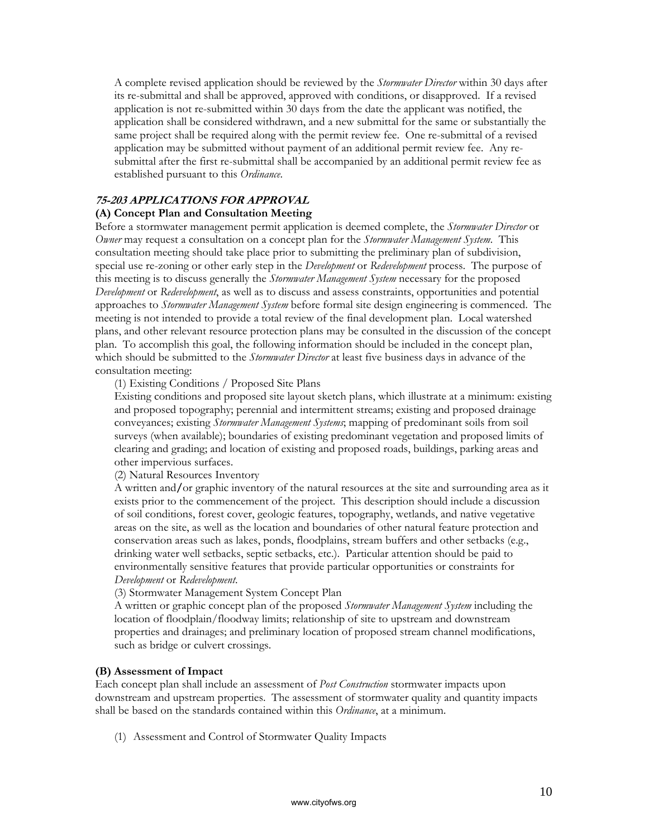A complete revised application should be reviewed by the *Stormwater Director* within 30 days after its re-submittal and shall be approved, approved with conditions, or disapproved. If a revised application is not re-submitted within 30 days from the date the applicant was notified, the application shall be considered withdrawn, and a new submittal for the same or substantially the same project shall be required along with the permit review fee. One re-submittal of a revised application may be submitted without payment of an additional permit review fee. Any resubmittal after the first re-submittal shall be accompanied by an additional permit review fee as established pursuant to this *Ordinance*.

### **75-203 APPLICATIONS FOR APPROVAL**

### **(A) Concept Plan and Consultation Meeting**

Before a stormwater management permit application is deemed complete, the *Stormwater Director* or *Owner* may request a consultation on a concept plan for the *Stormwater Management System*. This consultation meeting should take place prior to submitting the preliminary plan of subdivision, special use re-zoning or other early step in the *Development* or *Redevelopment* process. The purpose of this meeting is to discuss generally the *Stormwater Management System* necessary for the proposed *Development* or *Redevelopment*, as well as to discuss and assess constraints, opportunities and potential approaches to *Stormwater Management System* before formal site design engineering is commenced. The meeting is not intended to provide a total review of the final development plan. Local watershed plans, and other relevant resource protection plans may be consulted in the discussion of the concept plan. To accomplish this goal, the following information should be included in the concept plan, which should be submitted to the *Stormwater Director* at least five business days in advance of the consultation meeting:

(1) Existing Conditions / Proposed Site Plans

Existing conditions and proposed site layout sketch plans, which illustrate at a minimum: existing and proposed topography; perennial and intermittent streams; existing and proposed drainage conveyances; existing *Stormwater Management Systems*; mapping of predominant soils from soil surveys (when available); boundaries of existing predominant vegetation and proposed limits of clearing and grading; and location of existing and proposed roads, buildings, parking areas and other impervious surfaces.

(2) Natural Resources Inventory

A written and**/**or graphic inventory of the natural resources at the site and surrounding area as it exists prior to the commencement of the project. This description should include a discussion of soil conditions, forest cover, geologic features, topography, wetlands, and native vegetative areas on the site, as well as the location and boundaries of other natural feature protection and conservation areas such as lakes, ponds, floodplains, stream buffers and other setbacks (e.g., drinking water well setbacks, septic setbacks, etc.). Particular attention should be paid to environmentally sensitive features that provide particular opportunities or constraints for *Development* or *Redevelopment*.

#### (3) Stormwater Management System Concept Plan

A written or graphic concept plan of the proposed *Stormwater Management System* including the location of floodplain/floodway limits; relationship of site to upstream and downstream properties and drainages; and preliminary location of proposed stream channel modifications, such as bridge or culvert crossings.

#### **(B) Assessment of Impact**

Each concept plan shall include an assessment of *Post Construction* stormwater impacts upon downstream and upstream properties. The assessment of stormwater quality and quantity impacts shall be based on the standards contained within this *Ordinance*, at a minimum.

(1) Assessment and Control of Stormwater Quality Impacts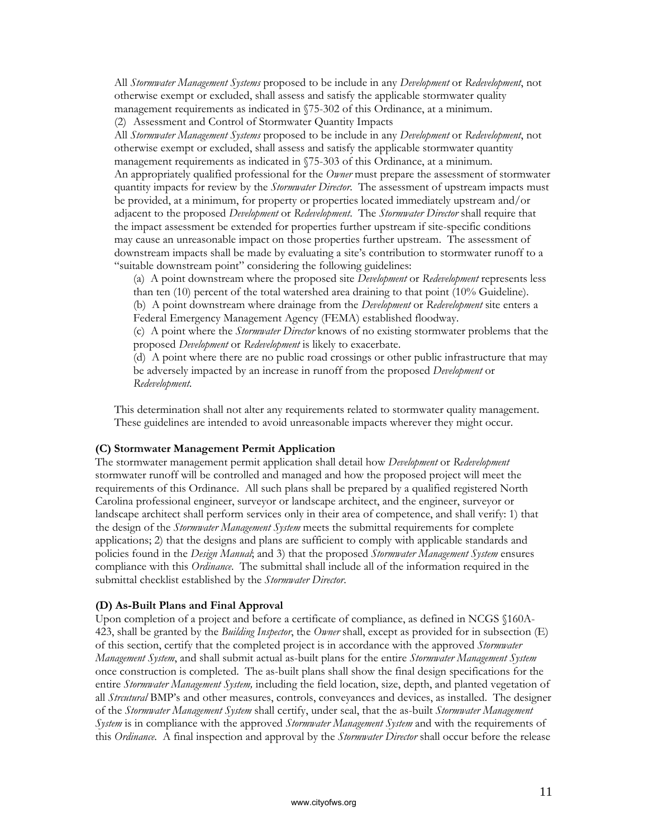All *Stormwater Management Systems* proposed to be include in any *Development* or *Redevelopment*, not otherwise exempt or excluded, shall assess and satisfy the applicable stormwater quality management requirements as indicated in §75-302 of this Ordinance, at a minimum. (2) Assessment and Control of Stormwater Quantity Impacts

All *Stormwater Management Systems* proposed to be include in any *Development* or *Redevelopment*, not otherwise exempt or excluded, shall assess and satisfy the applicable stormwater quantity management requirements as indicated in §75-303 of this Ordinance, at a minimum. An appropriately qualified professional for the *Owner* must prepare the assessment of stormwater quantity impacts for review by the *Stormwater Director*. The assessment of upstream impacts must be provided, at a minimum, for property or properties located immediately upstream and/or adjacent to the proposed *Development* or *Redevelopment*. The *Stormwater Director* shall require that the impact assessment be extended for properties further upstream if site-specific conditions may cause an unreasonable impact on those properties further upstream. The assessment of downstream impacts shall be made by evaluating a site's contribution to stormwater runoff to a "suitable downstream point" considering the following guidelines:

(a) A point downstream where the proposed site *Development* or *Redevelopment* represents less than ten  $(10)$  percent of the total watershed area draining to that point  $(10\%$  Guideline).

(b) A point downstream where drainage from the *Development* or *Redevelopment* site enters a Federal Emergency Management Agency (FEMA) established floodway.

(c) A point where the *Stormwater Director* knows of no existing stormwater problems that the proposed *Development* or *Redevelopment* is likely to exacerbate.

(d) A point where there are no public road crossings or other public infrastructure that may be adversely impacted by an increase in runoff from the proposed *Development* or *Redevelopment*.

This determination shall not alter any requirements related to stormwater quality management. These guidelines are intended to avoid unreasonable impacts wherever they might occur.

#### **(C) Stormwater Management Permit Application**

The stormwater management permit application shall detail how *Development* or *Redevelopment*  stormwater runoff will be controlled and managed and how the proposed project will meet the requirements of this Ordinance. All such plans shall be prepared by a qualified registered North Carolina professional engineer, surveyor or landscape architect, and the engineer, surveyor or landscape architect shall perform services only in their area of competence, and shall verify: 1) that the design of the *Stormwater Management System* meets the submittal requirements for complete applications; 2) that the designs and plans are sufficient to comply with applicable standards and policies found in the *Design Manual*; and 3) that the proposed *Stormwater Management System* ensures compliance with this *Ordinance*. The submittal shall include all of the information required in the submittal checklist established by the *Stormwater Director*.

#### **(D) As-Built Plans and Final Approval**

Upon completion of a project and before a certificate of compliance, as defined in NCGS §160A-423, shall be granted by the *Building Inspector*, the *Owner* shall, except as provided for in subsection (E) of this section, certify that the completed project is in accordance with the approved *Stormwater Management System*, and shall submit actual as-built plans for the entire *Stormwater Management System* once construction is completed. The as-built plans shall show the final design specifications for the entire *Stormwater Management System,* including the field location, size, depth, and planted vegetation of all *Strcutural* BMP's and other measures, controls, conveyances and devices, as installed. The designer of the *Stormwater Management System* shall certify, under seal, that the as-built *Stormwater Management System* is in compliance with the approved *Stormwater Management System* and with the requirements of this *Ordinance*. A final inspection and approval by the *Stormwater Director* shall occur before the release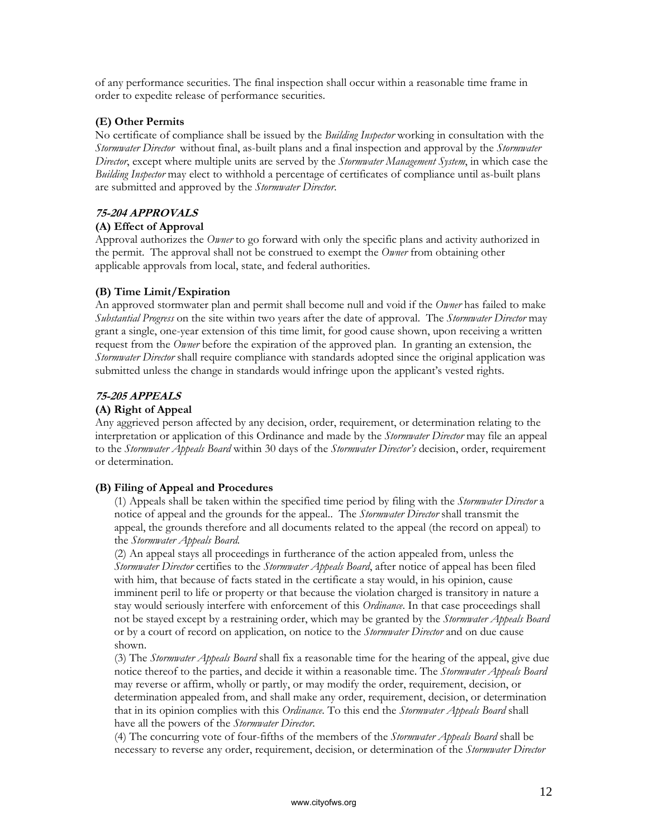of any performance securities. The final inspection shall occur within a reasonable time frame in order to expedite release of performance securities.

### **(E) Other Permits**

No certificate of compliance shall be issued by the *Building Inspector* working in consultation with the *Stormwater Director* without final, as-built plans and a final inspection and approval by the *Stormwater Director*, except where multiple units are served by the *Stormwater Management System*, in which case the *Building Inspector* may elect to withhold a percentage of certificates of compliance until as-built plans are submitted and approved by the *Stormwater Director*.

# **75-204 APPROVALS**

### **(A) Effect of Approval**

Approval authorizes the *Owner* to go forward with only the specific plans and activity authorized in the permit. The approval shall not be construed to exempt the *Owner* from obtaining other applicable approvals from local, state, and federal authorities.

# **(B) Time Limit/Expiration**

An approved stormwater plan and permit shall become null and void if the *Owner* has failed to make *Substantial Progress* on the site within two years after the date of approval. The *Stormwater Director* may grant a single, one-year extension of this time limit, for good cause shown, upon receiving a written request from the *Owner* before the expiration of the approved plan. In granting an extension, the *Stormwater Director* shall require compliance with standards adopted since the original application was submitted unless the change in standards would infringe upon the applicant's vested rights.

### **75-205 APPEALS**

# **(A) Right of Appeal**

Any aggrieved person affected by any decision, order, requirement, or determination relating to the interpretation or application of this Ordinance and made by the *Stormwater Director* may file an appeal to the *Stormwater Appeals Board* within 30 days of the *Stormwater Director's* decision, order, requirement or determination.

# **(B) Filing of Appeal and Procedures**

(1) Appeals shall be taken within the specified time period by filing with the *Stormwater Director* a notice of appeal and the grounds for the appeal.. The *Stormwater Director* shall transmit the appeal, the grounds therefore and all documents related to the appeal (the record on appeal) to the *Stormwater Appeals Board.*

(2) An appeal stays all proceedings in furtherance of the action appealed from, unless the *Stormwater Director* certifies to the *Stormwater Appeals Board*, after notice of appeal has been filed with him, that because of facts stated in the certificate a stay would, in his opinion, cause imminent peril to life or property or that because the violation charged is transitory in nature a stay would seriously interfere with enforcement of this *Ordinance*. In that case proceedings shall not be stayed except by a restraining order, which may be granted by the *Stormwater Appeals Board*  or by a court of record on application, on notice to the *Stormwater Director* and on due cause shown.

(3) The *Stormwater Appeals Board* shall fix a reasonable time for the hearing of the appeal, give due notice thereof to the parties, and decide it within a reasonable time. The *Stormwater Appeals Board* may reverse or affirm, wholly or partly, or may modify the order, requirement, decision, or determination appealed from, and shall make any order, requirement, decision, or determination that in its opinion complies with this *Ordinance*. To this end the *Stormwater Appeals Board* shall have all the powers of the *Stormwater Director*.

(4) The concurring vote of four-fifths of the members of the *Stormwater Appeals Board* shall be necessary to reverse any order, requirement, decision, or determination of the *Stormwater Director*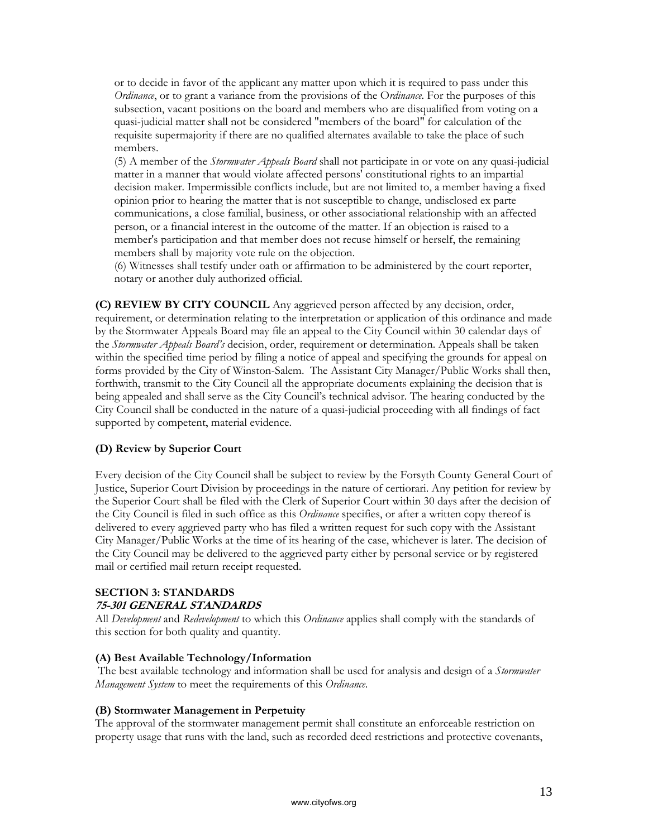or to decide in favor of the applicant any matter upon which it is required to pass under this *Ordinance*, or to grant a variance from the provisions of the O*rdinance*. For the purposes of this subsection, vacant positions on the board and members who are disqualified from voting on a quasi-judicial matter shall not be considered "members of the board" for calculation of the requisite supermajority if there are no qualified alternates available to take the place of such members.

(5) A member of the *Stormwater Appeals Board* shall not participate in or vote on any quasi-judicial matter in a manner that would violate affected persons' constitutional rights to an impartial decision maker. Impermissible conflicts include, but are not limited to, a member having a fixed opinion prior to hearing the matter that is not susceptible to change, undisclosed ex parte communications, a close familial, business, or other associational relationship with an affected person, or a financial interest in the outcome of the matter. If an objection is raised to a member's participation and that member does not recuse himself or herself, the remaining members shall by majority vote rule on the objection.

(6) Witnesses shall testify under oath or affirmation to be administered by the court reporter, notary or another duly authorized official.

**(C) REVIEW BY CITY COUNCIL** Any aggrieved person affected by any decision, order, requirement, or determination relating to the interpretation or application of this ordinance and made by the Stormwater Appeals Board may file an appeal to the City Council within 30 calendar days of the *Stormwater Appeals Board's* decision, order, requirement or determination. Appeals shall be taken within the specified time period by filing a notice of appeal and specifying the grounds for appeal on forms provided by the City of Winston-Salem. The Assistant City Manager/Public Works shall then, forthwith, transmit to the City Council all the appropriate documents explaining the decision that is being appealed and shall serve as the City Council's technical advisor. The hearing conducted by the City Council shall be conducted in the nature of a quasi-judicial proceeding with all findings of fact supported by competent, material evidence.

# **(D) Review by Superior Court**

Every decision of the City Council shall be subject to review by the Forsyth County General Court of Justice, Superior Court Division by proceedings in the nature of certiorari. Any petition for review by the Superior Court shall be filed with the Clerk of Superior Court within 30 days after the decision of the City Council is filed in such office as this *Ordinance* specifies, or after a written copy thereof is delivered to every aggrieved party who has filed a written request for such copy with the Assistant City Manager/Public Works at the time of its hearing of the case, whichever is later. The decision of the City Council may be delivered to the aggrieved party either by personal service or by registered mail or certified mail return receipt requested.

# **SECTION 3: STANDARDS**

### **75-301 GENERAL STANDARDS**

All *Development* and *Redevelopment* to which this *Ordinance* applies shall comply with the standards of this section for both quality and quantity.

#### **(A) Best Available Technology/Information**

 The best available technology and information shall be used for analysis and design of a *Stormwater Management System* to meet the requirements of this *Ordinance*.

#### **(B) Stormwater Management in Perpetuity**

The approval of the stormwater management permit shall constitute an enforceable restriction on property usage that runs with the land, such as recorded deed restrictions and protective covenants,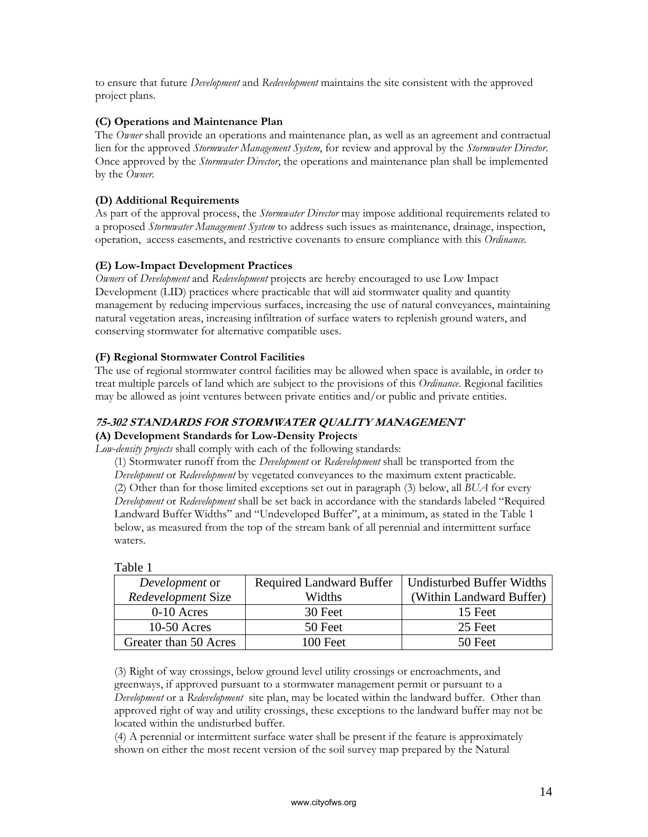to ensure that future *Development* and *Redevelopment* maintains the site consistent with the approved project plans.

# **(C) Operations and Maintenance Plan**

The *Owner* shall provide an operations and maintenance plan, as well as an agreement and contractual lien for the approved *Stormwater Management System*, for review and approval by the *Stormwater Director*. Once approved by the *Stormwater Director*, the operations and maintenance plan shall be implemented by the *Owner*.

# **(D) Additional Requirements**

As part of the approval process, the *Stormwater Director* may impose additional requirements related to a proposed *Stormwater Management System* to address such issues as maintenance, drainage, inspection, operation, access easements, and restrictive covenants to ensure compliance with this *Ordinance.*

# **(E) Low-Impact Development Practices**

*Owners* of *Development* and *Redevelopment* projects are hereby encouraged to use Low Impact Development (LID) practices where practicable that will aid stormwater quality and quantity management by reducing impervious surfaces, increasing the use of natural conveyances, maintaining natural vegetation areas, increasing infiltration of surface waters to replenish ground waters, and conserving stormwater for alternative compatible uses.

# **(F) Regional Stormwater Control Facilities**

The use of regional stormwater control facilities may be allowed when space is available, in order to treat multiple parcels of land which are subject to the provisions of this *Ordinance*. Regional facilities may be allowed as joint ventures between private entities and/or public and private entities.

### **75-302 STANDARDS FOR STORMWATER QUALITY MANAGEMENT (A) Development Standards for Low-Density Projects**

*Low-density projects* shall comply with each of the following standards:

(1) Stormwater runoff from the *Development* or *Redevelopment* shall be transported from the *Development* or *Redevelopment* by vegetated conveyances to the maximum extent practicable. (2) Other than for those limited exceptions set out in paragraph (3) below, all *BUA* for every *Development* or *Redevelopment* shall be set back in accordance with the standards labeled "Required Landward Buffer Widths" and "Undeveloped Buffer", at a minimum, as stated in the Table 1 below, as measured from the top of the stream bank of all perennial and intermittent surface waters.

| Development or        | <b>Required Landward Buffer</b> | Undisturbed Buffer Widths |
|-----------------------|---------------------------------|---------------------------|
| Redevelopment Size    | Widths                          | (Within Landward Buffer)  |
| $0-10$ Acres          | 30 Feet                         | 15 Feet                   |
| $10-50$ Acres         | 50 Feet                         | 25 Feet                   |
| Greater than 50 Acres | $100$ Feet                      | 50 Feet                   |

Table 1

(3) Right of way crossings, below ground level utility crossings or encroachments, and greenways, if approved pursuant to a stormwater management permit or pursuant to a *Development* or a *Redevelopment* site plan, may be located within the landward buffer. Other than approved right of way and utility crossings, these exceptions to the landward buffer may not be located within the undisturbed buffer.

(4) A perennial or intermittent surface water shall be present if the feature is approximately shown on either the most recent version of the soil survey map prepared by the Natural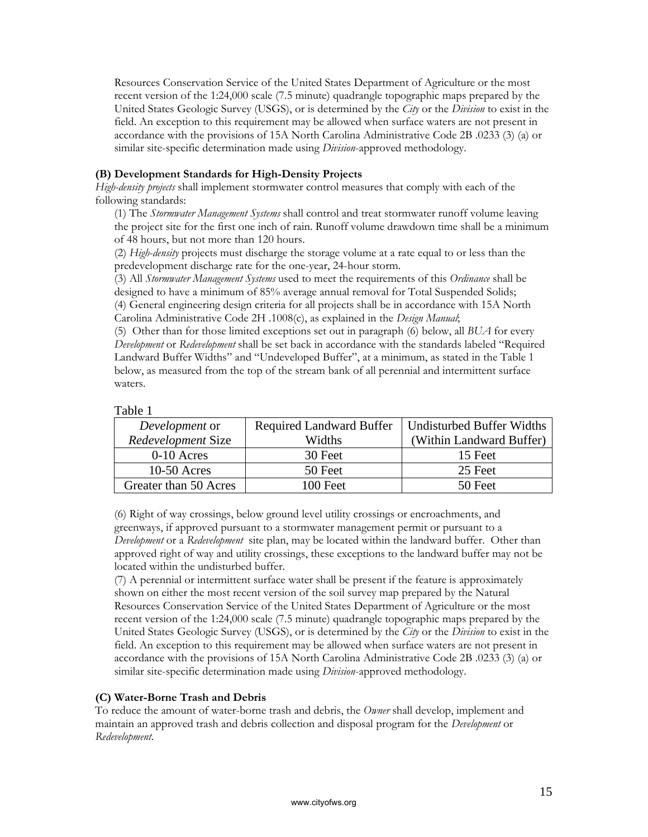Resources Conservation Service of the United States Department of Agriculture or the most recent version of the 1:24,000 scale (7.5 minute) quadrangle topographic maps prepared by the United States Geologic Survey (USGS), or is determined by the *City* or the *Division* to exist in the field. An exception to this requirement may be allowed when surface waters are not present in accordance with the provisions of 15A North Carolina Administrative Code 2B .0233 (3) (a) or similar site-specific determination made using *Division*-approved methodology.

### **(B) Development Standards for High-Density Projects**

*High-density projects* shall implement stormwater control measures that comply with each of the following standards:

(1) The *Stormwater Management Systems* shall control and treat stormwater runoff volume leaving the project site for the first one inch of rain. Runoff volume drawdown time shall be a minimum of 48 hours, but not more than 120 hours.

(2) *High-density* projects must discharge the storage volume at a rate equal to or less than the predevelopment discharge rate for the one-year, 24-hour storm.

(3) All *Stormwater Management Systems* used to meet the requirements of this *Ordinance* shall be designed to have a minimum of 85% average annual removal for Total Suspended Solids; (4) General engineering design criteria for all projects shall be in accordance with 15A North Carolina Administrative Code 2H .1008(c), as explained in the *Design Manual*;

(5) Other than for those limited exceptions set out in paragraph (6) below, all *BUA* for every *Development* or *Redevelopment* shall be set back in accordance with the standards labeled "Required Landward Buffer Widths" and "Undeveloped Buffer", at a minimum, as stated in the Table 1 below, as measured from the top of the stream bank of all perennial and intermittent surface waters.

| Development or        | Required Landward Buffer | Undisturbed Buffer Widths |
|-----------------------|--------------------------|---------------------------|
| Redevelopment Size    | Widths                   | (Within Landward Buffer)  |
| $0-10$ Acres          | 30 Feet                  | 15 Feet                   |
| $10-50$ Acres         | 50 Feet                  | 25 Feet                   |
| Greater than 50 Acres | $100$ Feet               | 50 Feet                   |
|                       |                          |                           |

| aple |  |
|------|--|
|      |  |

(6) Right of way crossings, below ground level utility crossings or encroachments, and greenways, if approved pursuant to a stormwater management permit or pursuant to a *Development* or a *Redevelopment* site plan, may be located within the landward buffer. Other than approved right of way and utility crossings, these exceptions to the landward buffer may not be located within the undisturbed buffer.

(7) A perennial or intermittent surface water shall be present if the feature is approximately shown on either the most recent version of the soil survey map prepared by the Natural Resources Conservation Service of the United States Department of Agriculture or the most recent version of the 1:24,000 scale (7.5 minute) quadrangle topographic maps prepared by the United States Geologic Survey (USGS), or is determined by the *City* or the *Division* to exist in the field. An exception to this requirement may be allowed when surface waters are not present in accordance with the provisions of 15A North Carolina Administrative Code 2B .0233 (3) (a) or similar site-specific determination made using *Division*-approved methodology.

# **(C) Water-Borne Trash and Debris**

To reduce the amount of water-borne trash and debris, the *Owner* shall develop, implement and maintain an approved trash and debris collection and disposal program for the *Development* or *Redevelopment*.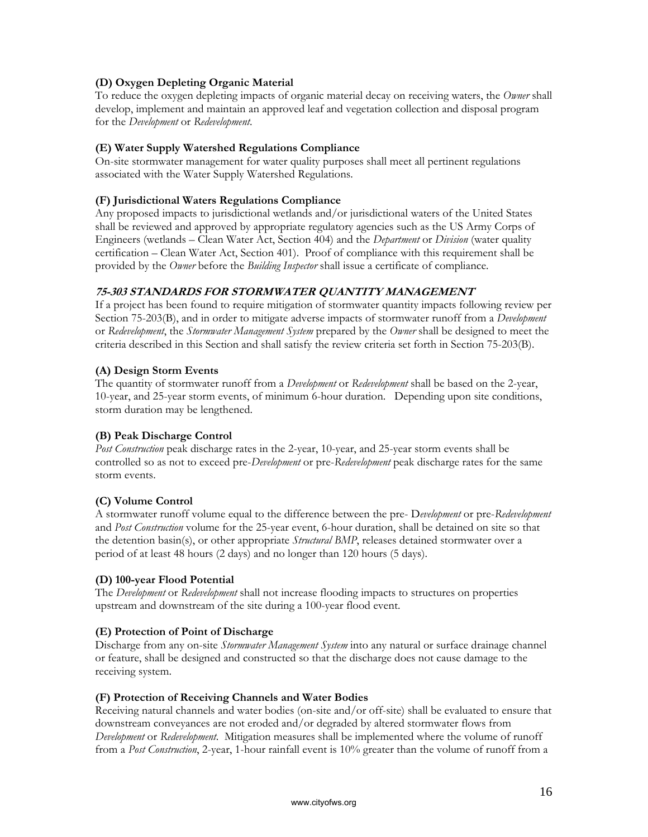# **(D) Oxygen Depleting Organic Material**

To reduce the oxygen depleting impacts of organic material decay on receiving waters, the *Owner* shall develop, implement and maintain an approved leaf and vegetation collection and disposal program for the *Development* or *Redevelopment*.

# **(E) Water Supply Watershed Regulations Compliance**

On-site stormwater management for water quality purposes shall meet all pertinent regulations associated with the Water Supply Watershed Regulations.

# **(F) Jurisdictional Waters Regulations Compliance**

Any proposed impacts to jurisdictional wetlands and/or jurisdictional waters of the United States shall be reviewed and approved by appropriate regulatory agencies such as the US Army Corps of Engineers (wetlands – Clean Water Act, Section 404) and the *Department* or *Division* (water quality certification – Clean Water Act, Section 401). Proof of compliance with this requirement shall be provided by the *Owner* before the *Building Inspector* shall issue a certificate of compliance.

# **75-303 STANDARDS FOR STORMWATER QUANTITY MANAGEMENT**

If a project has been found to require mitigation of stormwater quantity impacts following review per Section 75-203(B), and in order to mitigate adverse impacts of stormwater runoff from a *Development* or *Redevelopment*, the *Stormwater Management System* prepared by the *Owner* shall be designed to meet the criteria described in this Section and shall satisfy the review criteria set forth in Section 75-203(B).

# **(A) Design Storm Events**

The quantity of stormwater runoff from a *Development* or *Redevelopment* shall be based on the 2-year, 10-year, and 25-year storm events, of minimum 6-hour duration. Depending upon site conditions, storm duration may be lengthened.

# **(B) Peak Discharge Control**

*Post Construction* peak discharge rates in the 2-year, 10-year, and 25-year storm events shall be controlled so as not to exceed pre-*Development* or pre-*Redevelopment* peak discharge rates for the same storm events.

# **(C) Volume Control**

A stormwater runoff volume equal to the difference between the pre- D*evelopment* or pre-*Redevelopment*  and *Post Construction* volume for the 25-year event, 6-hour duration, shall be detained on site so that the detention basin(s), or other appropriate *Structural BMP*, releases detained stormwater over a period of at least 48 hours (2 days) and no longer than 120 hours (5 days).

# **(D) 100-year Flood Potential**

The *Development* or *Redevelopment* shall not increase flooding impacts to structures on properties upstream and downstream of the site during a 100-year flood event.

# **(E) Protection of Point of Discharge**

Discharge from any on-site *Stormwater Management System* into any natural or surface drainage channel or feature, shall be designed and constructed so that the discharge does not cause damage to the receiving system.

# **(F) Protection of Receiving Channels and Water Bodies**

Receiving natural channels and water bodies (on-site and/or off-site) shall be evaluated to ensure that downstream conveyances are not eroded and/or degraded by altered stormwater flows from *Development* or *Redevelopment*. Mitigation measures shall be implemented where the volume of runoff from a *Post Construction*, 2-year, 1-hour rainfall event is 10% greater than the volume of runoff from a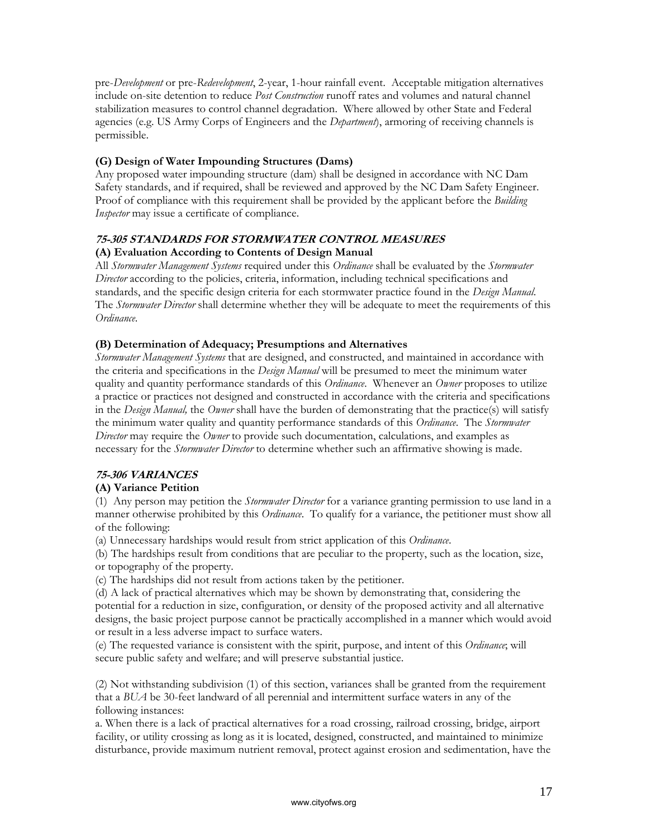pre-*Development* or pre-*Redevelopment*, 2-year, 1-hour rainfall event. Acceptable mitigation alternatives include on-site detention to reduce *Post Construction* runoff rates and volumes and natural channel stabilization measures to control channel degradation. Where allowed by other State and Federal agencies (e.g. US Army Corps of Engineers and the *Department*), armoring of receiving channels is permissible.

# **(G) Design of Water Impounding Structures (Dams)**

Any proposed water impounding structure (dam) shall be designed in accordance with NC Dam Safety standards, and if required, shall be reviewed and approved by the NC Dam Safety Engineer. Proof of compliance with this requirement shall be provided by the applicant before the *Building Inspector* may issue a certificate of compliance.

#### **75-305 STANDARDS FOR STORMWATER CONTROL MEASURES (A) Evaluation According to Contents of Design Manual**

All *Stormwater Management Systems* required under this *Ordinance* shall be evaluated by the *Stormwater Director* according to the policies, criteria, information, including technical specifications and standards, and the specific design criteria for each stormwater practice found in the *Design Manual*. The *Stormwater Director* shall determine whether they will be adequate to meet the requirements of this *Ordinance*.

# **(B) Determination of Adequacy; Presumptions and Alternatives**

*Stormwater Management Systems* that are designed, and constructed, and maintained in accordance with the criteria and specifications in the *Design Manual* will be presumed to meet the minimum water quality and quantity performance standards of this *Ordinance*. Whenever an *Owner* proposes to utilize a practice or practices not designed and constructed in accordance with the criteria and specifications in the *Design Manual,* the *Owner* shall have the burden of demonstrating that the practice(s) will satisfy the minimum water quality and quantity performance standards of this *Ordinance*. The *Stormwater Director* may require the *Owner* to provide such documentation, calculations, and examples as necessary for the *Stormwater Director* to determine whether such an affirmative showing is made.

# **75-306 VARIANCES**

# **(A) Variance Petition**

(1) Any person may petition the *Stormwater Director* for a variance granting permission to use land in a manner otherwise prohibited by this *Ordinance*. To qualify for a variance, the petitioner must show all of the following:

(a) Unnecessary hardships would result from strict application of this *Ordinance*.

(b) The hardships result from conditions that are peculiar to the property, such as the location, size, or topography of the property.

(c) The hardships did not result from actions taken by the petitioner.

(d) A lack of practical alternatives which may be shown by demonstrating that, considering the potential for a reduction in size, configuration, or density of the proposed activity and all alternative designs, the basic project purpose cannot be practically accomplished in a manner which would avoid or result in a less adverse impact to surface waters.

(e) The requested variance is consistent with the spirit, purpose, and intent of this *Ordinance*; will secure public safety and welfare; and will preserve substantial justice.

(2) Not withstanding subdivision (1) of this section, variances shall be granted from the requirement that a *BUA* be 30-feet landward of all perennial and intermittent surface waters in any of the following instances:

a. When there is a lack of practical alternatives for a road crossing, railroad crossing, bridge, airport facility, or utility crossing as long as it is located, designed, constructed, and maintained to minimize disturbance, provide maximum nutrient removal, protect against erosion and sedimentation, have the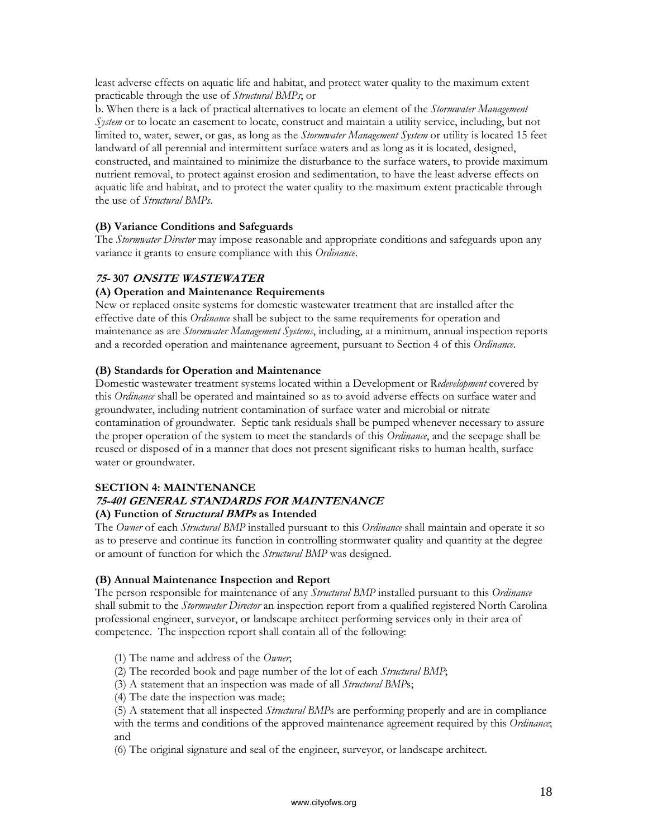least adverse effects on aquatic life and habitat, and protect water quality to the maximum extent practicable through the use of *Structural BMPs*; or

b. When there is a lack of practical alternatives to locate an element of the *Stormwater Management System* or to locate an easement to locate, construct and maintain a utility service, including, but not limited to, water, sewer, or gas, as long as the *Stormwater Management System* or utility is located 15 feet landward of all perennial and intermittent surface waters and as long as it is located, designed, constructed, and maintained to minimize the disturbance to the surface waters, to provide maximum nutrient removal, to protect against erosion and sedimentation, to have the least adverse effects on aquatic life and habitat, and to protect the water quality to the maximum extent practicable through the use of *Structural BMPs*.

### **(B) Variance Conditions and Safeguards**

The *Stormwater Director* may impose reasonable and appropriate conditions and safeguards upon any variance it grants to ensure compliance with this *Ordinance*.

### **75- 307 ONSITE WASTEWATER**

#### **(A) Operation and Maintenance Requirements**

New or replaced onsite systems for domestic wastewater treatment that are installed after the effective date of this *Ordinance* shall be subject to the same requirements for operation and maintenance as are *Stormwater Management Systems*, including, at a minimum, annual inspection reports and a recorded operation and maintenance agreement, pursuant to Section 4 of this *Ordinance*.

#### **(B) Standards for Operation and Maintenance**

Domestic wastewater treatment systems located within a Development or R*edevelopment* covered by this *Ordinance* shall be operated and maintained so as to avoid adverse effects on surface water and groundwater, including nutrient contamination of surface water and microbial or nitrate contamination of groundwater. Septic tank residuals shall be pumped whenever necessary to assure the proper operation of the system to meet the standards of this *Ordinance*, and the seepage shall be reused or disposed of in a manner that does not present significant risks to human health, surface water or groundwater.

# **SECTION 4: MAINTENANCE**

# **75-401 GENERAL STANDARDS FOR MAINTENANCE**

### **(A) Function of Structural BMPs as Intended**

The *Owner* of each *Structural BMP* installed pursuant to this *Ordinance* shall maintain and operate it so as to preserve and continue its function in controlling stormwater quality and quantity at the degree or amount of function for which the *Structural BMP* was designed.

#### **(B) Annual Maintenance Inspection and Report**

The person responsible for maintenance of any *Structural BMP* installed pursuant to this *Ordinance* shall submit to the *Stormwater Director* an inspection report from a qualified registered North Carolina professional engineer, surveyor, or landscape architect performing services only in their area of competence. The inspection report shall contain all of the following:

(1) The name and address of the *Owner*;

(2) The recorded book and page number of the lot of each *Structural BMP*;

(3) A statement that an inspection was made of all *Structural BMP*s;

(4) The date the inspection was made;

(5) A statement that all inspected *Structural BMP*s are performing properly and are in compliance with the terms and conditions of the approved maintenance agreement required by this *Ordinance*; and

(6) The original signature and seal of the engineer, surveyor, or landscape architect.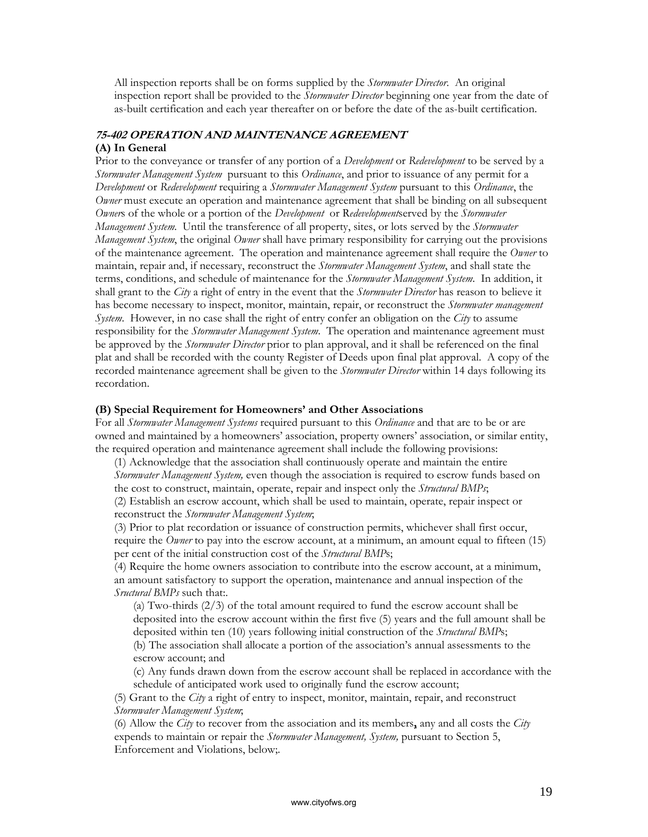All inspection reports shall be on forms supplied by the *Stormwater Director*. An original inspection report shall be provided to the *Stormwater Director* beginning one year from the date of as-built certification and each year thereafter on or before the date of the as-built certification.

# **75-402 OPERATION AND MAINTENANCE AGREEMENT (A) In General**

Prior to the conveyance or transfer of any portion of a *Development* or *Redevelopment* to be served by a *Stormwater Management System* pursuant to this *Ordinance*, and prior to issuance of any permit for a *Development* or *Redevelopment* requiring a *Stormwater Management System* pursuant to this *Ordinance*, the *Owner* must execute an operation and maintenance agreement that shall be binding on all subsequent *Owner*s of the whole or a portion of the *Development* or R*edevelopment*served by the *Stormwater Management System*. Until the transference of all property, sites, or lots served by the *Stormwater Management System*, the original *Owner* shall have primary responsibility for carrying out the provisions of the maintenance agreement. The operation and maintenance agreement shall require the *Owner* to maintain, repair and, if necessary, reconstruct the *Stormwater Management System*, and shall state the terms, conditions, and schedule of maintenance for the *Stormwater Management System*. In addition, it shall grant to the *City* a right of entry in the event that the *Stormwater Director* has reason to believe it has become necessary to inspect, monitor, maintain, repair, or reconstruct the *Stormwater management System*. However, in no case shall the right of entry confer an obligation on the *City* to assume responsibility for the *Stormwater Management System*. The operation and maintenance agreement must be approved by the *Stormwater Director* prior to plan approval, and it shall be referenced on the final plat and shall be recorded with the county Register of Deeds upon final plat approval. A copy of the recorded maintenance agreement shall be given to the *Stormwater Director* within 14 days following its recordation.

#### **(B) Special Requirement for Homeowners' and Other Associations**

For all *Stormwater Management Systems* required pursuant to this *Ordinance* and that are to be or are owned and maintained by a homeowners' association, property owners' association, or similar entity, the required operation and maintenance agreement shall include the following provisions:

(1) Acknowledge that the association shall continuously operate and maintain the entire *Stormwater Management System,* even though the association is required to escrow funds based on the cost to construct, maintain, operate, repair and inspect only the *Structural BMPs*;

(2) Establish an escrow account, which shall be used to maintain, operate, repair inspect or reconstruct the *Stormwater Management System*;

(3) Prior to plat recordation or issuance of construction permits, whichever shall first occur, require the *Owner* to pay into the escrow account, at a minimum, an amount equal to fifteen (15) per cent of the initial construction cost of the *Structural BMP*s;

(4) Require the home owners association to contribute into the escrow account, at a minimum, an amount satisfactory to support the operation, maintenance and annual inspection of the *Sructural BMPs* such that:.

(a) Two-thirds  $(2/3)$  of the total amount required to fund the escrow account shall be deposited into the escrow account within the first five (5) years and the full amount shall be deposited within ten (10) years following initial construction of the *Structural BMP*s; (b) The association shall allocate a portion of the association's annual assessments to the escrow account; and

(c) Any funds drawn down from the escrow account shall be replaced in accordance with the schedule of anticipated work used to originally fund the escrow account;

(5) Grant to the *City* a right of entry to inspect, monitor, maintain, repair, and reconstruct *Stormwater Management System*;

(6) Allow the *City* to recover from the association and its members**,** any and all costs the *City* expends to maintain or repair the *Stormwater Management, System,* pursuant to Section 5, Enforcement and Violations, below;.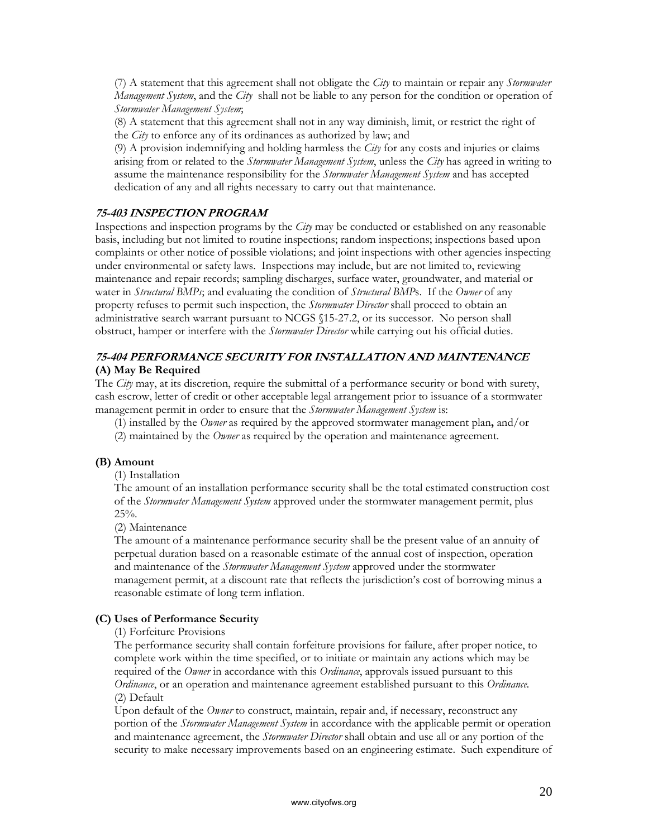(7) A statement that this agreement shall not obligate the *City* to maintain or repair any *Stormwater Management System*, and the *City* shall not be liable to any person for the condition or operation of *Stormwater Management System*;

(8) A statement that this agreement shall not in any way diminish, limit, or restrict the right of the *City* to enforce any of its ordinances as authorized by law; and

(9) A provision indemnifying and holding harmless the *City* for any costs and injuries or claims arising from or related to the *Stormwater Management System*, unless the *City* has agreed in writing to assume the maintenance responsibility for the *Stormwater Management System* and has accepted dedication of any and all rights necessary to carry out that maintenance.

# **75-403 INSPECTION PROGRAM**

Inspections and inspection programs by the *City* may be conducted or established on any reasonable basis, including but not limited to routine inspections; random inspections; inspections based upon complaints or other notice of possible violations; and joint inspections with other agencies inspecting under environmental or safety laws. Inspections may include, but are not limited to, reviewing maintenance and repair records; sampling discharges, surface water, groundwater, and material or water in *Structural BMPs*; and evaluating the condition of *Structural BMP*s. If the *Owner* of any property refuses to permit such inspection, the *Stormwater Director* shall proceed to obtain an administrative search warrant pursuant to NCGS §15-27.2, or its successor. No person shall obstruct, hamper or interfere with the *Stormwater Director* while carrying out his official duties.

# **75-404 PERFORMANCE SECURITY FOR INSTALLATION AND MAINTENANCE (A) May Be Required**

The *City* may, at its discretion, require the submittal of a performance security or bond with surety, cash escrow, letter of credit or other acceptable legal arrangement prior to issuance of a stormwater management permit in order to ensure that the *Stormwater Management System* is:

(1) installed by the *Owner* as required by the approved stormwater management plan**,** and/or

(2) maintained by the *Owner* as required by the operation and maintenance agreement.

#### **(B) Amount**

(1) Installation

The amount of an installation performance security shall be the total estimated construction cost of the *Stormwater Management System* approved under the stormwater management permit, plus  $25\%$ .

(2) Maintenance

The amount of a maintenance performance security shall be the present value of an annuity of perpetual duration based on a reasonable estimate of the annual cost of inspection, operation and maintenance of the *Stormwater Management System* approved under the stormwater management permit, at a discount rate that reflects the jurisdiction's cost of borrowing minus a reasonable estimate of long term inflation.

#### **(C) Uses of Performance Security**

#### (1) Forfeiture Provisions

The performance security shall contain forfeiture provisions for failure, after proper notice, to complete work within the time specified, or to initiate or maintain any actions which may be required of the *Owner* in accordance with this *Ordinance*, approvals issued pursuant to this *Ordinance*, or an operation and maintenance agreement established pursuant to this *Ordinance.* (2) Default

Upon default of the *Owner* to construct, maintain, repair and, if necessary, reconstruct any portion of the *Stormwater Management System* in accordance with the applicable permit or operation and maintenance agreement, the *Stormwater Director* shall obtain and use all or any portion of the security to make necessary improvements based on an engineering estimate. Such expenditure of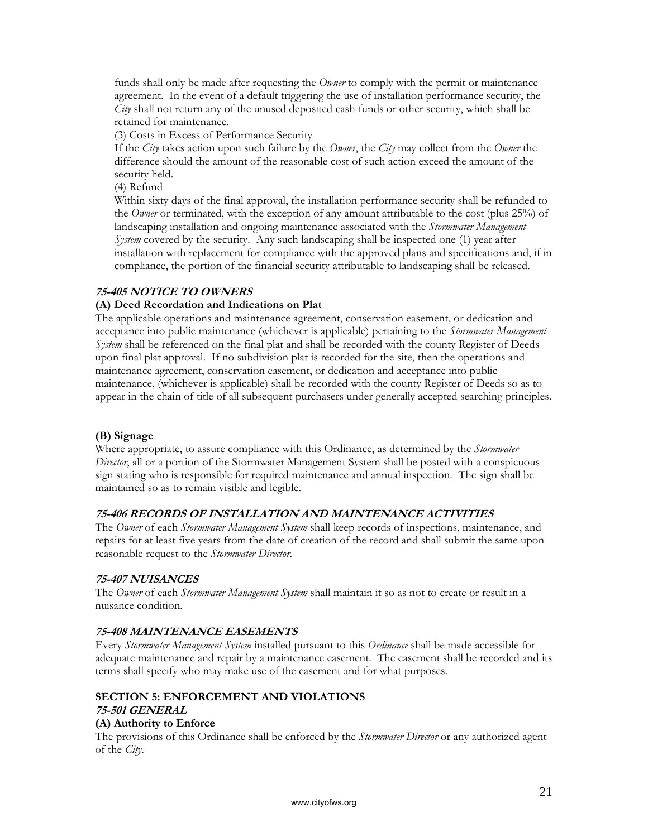funds shall only be made after requesting the *Owner* to comply with the permit or maintenance agreement. In the event of a default triggering the use of installation performance security, the *City* shall not return any of the unused deposited cash funds or other security, which shall be retained for maintenance.

(3) Costs in Excess of Performance Security

If the *City* takes action upon such failure by the *Owner*, the *City* may collect from the *Owner* the difference should the amount of the reasonable cost of such action exceed the amount of the security held.

(4) Refund

Within sixty days of the final approval, the installation performance security shall be refunded to the *Owner* or terminated, with the exception of any amount attributable to the cost (plus 25%) of landscaping installation and ongoing maintenance associated with the *Stormwater Management System* covered by the security. Any such landscaping shall be inspected one (1) year after installation with replacement for compliance with the approved plans and specifications and, if in compliance, the portion of the financial security attributable to landscaping shall be released.

### **75-405 NOTICE TO OWNERS**

### **(A) Deed Recordation and Indications on Plat**

The applicable operations and maintenance agreement, conservation easement, or dedication and acceptance into public maintenance (whichever is applicable) pertaining to the *Stormwater Management System* shall be referenced on the final plat and shall be recorded with the county Register of Deeds upon final plat approval. If no subdivision plat is recorded for the site, then the operations and maintenance agreement, conservation easement, or dedication and acceptance into public maintenance, (whichever is applicable) shall be recorded with the county Register of Deeds so as to appear in the chain of title of all subsequent purchasers under generally accepted searching principles.

#### **(B) Signage**

Where appropriate, to assure compliance with this Ordinance, as determined by the *Stormwater Director*, all or a portion of the Stormwater Management System shall be posted with a conspicuous sign stating who is responsible for required maintenance and annual inspection. The sign shall be maintained so as to remain visible and legible.

#### **75-406 RECORDS OF INSTALLATION AND MAINTENANCE ACTIVITIES**

The *Owner* of each *Stormwater Management System* shall keep records of inspections, maintenance, and repairs for at least five years from the date of creation of the record and shall submit the same upon reasonable request to the *Stormwater Director*.

#### **75-407 NUISANCES**

The *Owner* of each *Stormwater Management System* shall maintain it so as not to create or result in a nuisance condition.

#### **75-408 MAINTENANCE EASEMENTS**

Every *Stormwater Management System* installed pursuant to this *Ordinance* shall be made accessible for adequate maintenance and repair by a maintenance easement. The easement shall be recorded and its terms shall specify who may make use of the easement and for what purposes.

# **SECTION 5: ENFORCEMENT AND VIOLATIONS**

# **75-501 GENERAL**

# **(A) Authority to Enforce**

The provisions of this Ordinance shall be enforced by the *Stormwater Director* or any authorized agent of the *City*.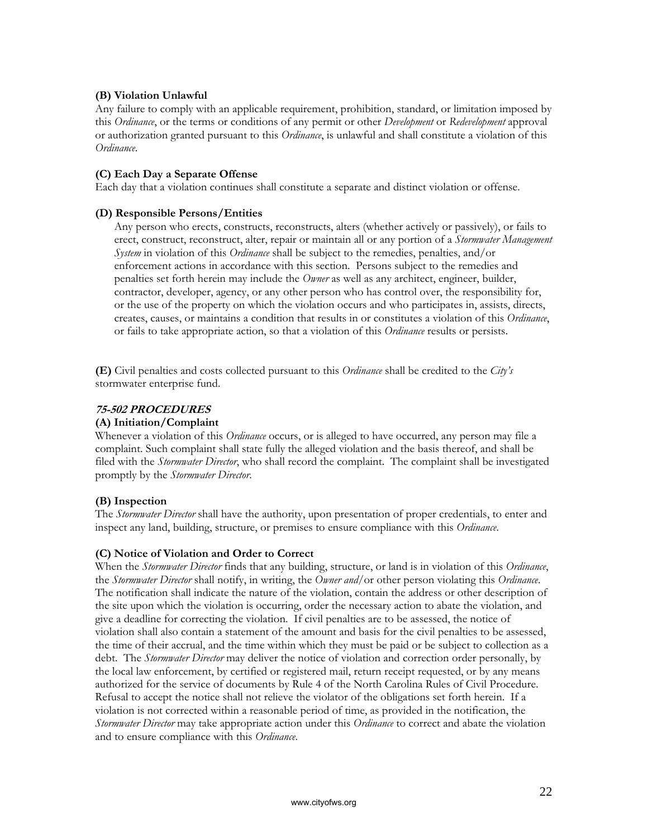### **(B) Violation Unlawful**

Any failure to comply with an applicable requirement, prohibition, standard, or limitation imposed by this *Ordinance*, or the terms or conditions of any permit or other *Development* or *Redevelopment* approval or authorization granted pursuant to this *Ordinance*, is unlawful and shall constitute a violation of this *Ordinance*.

#### **(C) Each Day a Separate Offense**

Each day that a violation continues shall constitute a separate and distinct violation or offense.

#### **(D) Responsible Persons/Entities**

Any person who erects, constructs, reconstructs, alters (whether actively or passively), or fails to erect, construct, reconstruct, alter, repair or maintain all or any portion of a *Stormwater Management System* in violation of this *Ordinance* shall be subject to the remedies, penalties, and/or enforcement actions in accordance with this section. Persons subject to the remedies and penalties set forth herein may include the *Owner* as well as any architect, engineer, builder, contractor, developer, agency, or any other person who has control over, the responsibility for, or the use of the property on which the violation occurs and who participates in, assists, directs, creates, causes, or maintains a condition that results in or constitutes a violation of this *Ordinance*, or fails to take appropriate action, so that a violation of this *Ordinance* results or persists.

**(E)** Civil penalties and costs collected pursuant to this *Ordinance* shall be credited to the *City's* stormwater enterprise fund.

### **75-502 PROCEDURES**

#### **(A) Initiation/Complaint**

Whenever a violation of this *Ordinance* occurs, or is alleged to have occurred, any person may file a complaint. Such complaint shall state fully the alleged violation and the basis thereof, and shall be filed with the *Stormwater Director*, who shall record the complaint. The complaint shall be investigated promptly by the *Stormwater Director*.

# **(B) Inspection**

The *Stormwater Director* shall have the authority, upon presentation of proper credentials, to enter and inspect any land, building, structure, or premises to ensure compliance with this *Ordinance*.

#### **(C) Notice of Violation and Order to Correct**

When the *Stormwater Director* finds that any building, structure, or land is in violation of this *Ordinance*, the *Stormwater Director* shall notify, in writing, the *Owner and/*or other person violating this *Ordinance*. The notification shall indicate the nature of the violation, contain the address or other description of the site upon which the violation is occurring, order the necessary action to abate the violation, and give a deadline for correcting the violation. If civil penalties are to be assessed, the notice of violation shall also contain a statement of the amount and basis for the civil penalties to be assessed, the time of their accrual, and the time within which they must be paid or be subject to collection as a debt. The *Stormwater Director* may deliver the notice of violation and correction order personally, by the local law enforcement, by certified or registered mail, return receipt requested, or by any means authorized for the service of documents by Rule 4 of the North Carolina Rules of Civil Procedure. Refusal to accept the notice shall not relieve the violator of the obligations set forth herein. If a violation is not corrected within a reasonable period of time, as provided in the notification, the *Stormwater Director* may take appropriate action under this *Ordinance* to correct and abate the violation and to ensure compliance with this *Ordinance*.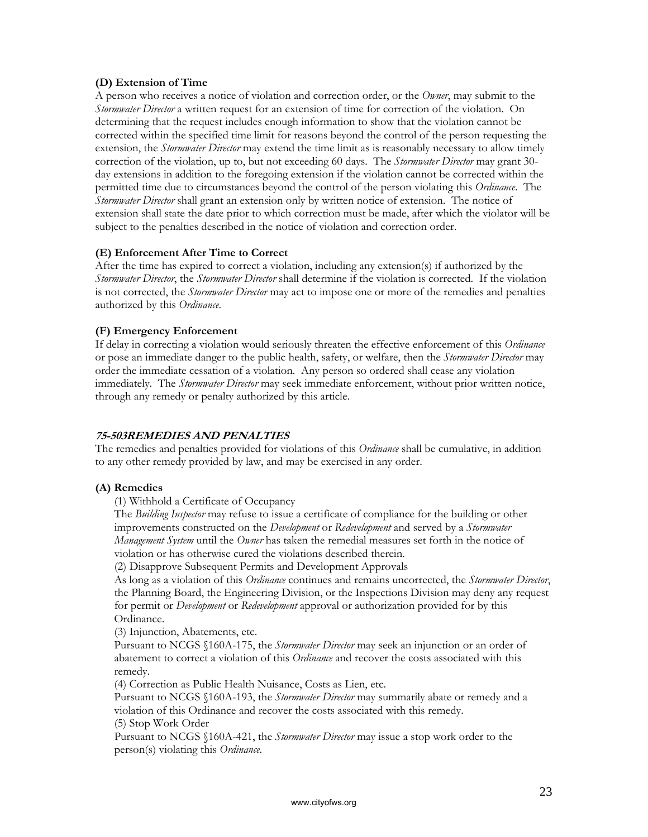### **(D) Extension of Time**

A person who receives a notice of violation and correction order, or the *Owner*, may submit to the *Stormwater Director* a written request for an extension of time for correction of the violation. On determining that the request includes enough information to show that the violation cannot be corrected within the specified time limit for reasons beyond the control of the person requesting the extension, the *Stormwater Director* may extend the time limit as is reasonably necessary to allow timely correction of the violation, up to, but not exceeding 60 days. The *Stormwater Director* may grant 30 day extensions in addition to the foregoing extension if the violation cannot be corrected within the permitted time due to circumstances beyond the control of the person violating this *Ordinance*. The *Stormwater Director* shall grant an extension only by written notice of extension. The notice of extension shall state the date prior to which correction must be made, after which the violator will be subject to the penalties described in the notice of violation and correction order.

### **(E) Enforcement After Time to Correct**

After the time has expired to correct a violation, including any extension(s) if authorized by the *Stormwater Director*, the *Stormwater Director* shall determine if the violation is corrected. If the violation is not corrected, the *Stormwater Director* may act to impose one or more of the remedies and penalties authorized by this *Ordinance*.

### **(F) Emergency Enforcement**

If delay in correcting a violation would seriously threaten the effective enforcement of this *Ordinance* or pose an immediate danger to the public health, safety, or welfare, then the *Stormwater Director* may order the immediate cessation of a violation. Any person so ordered shall cease any violation immediately. The *Stormwater Director* may seek immediate enforcement, without prior written notice, through any remedy or penalty authorized by this article.

#### **75-503REMEDIES AND PENALTIES**

The remedies and penalties provided for violations of this *Ordinance* shall be cumulative, in addition to any other remedy provided by law, and may be exercised in any order.

#### **(A) Remedies**

(1) Withhold a Certificate of Occupancy

The *Building Inspector* may refuse to issue a certificate of compliance for the building or other improvements constructed on the *Development* or *Redevelopment* and served by a *Stormwater Management System* until the *Owner* has taken the remedial measures set forth in the notice of violation or has otherwise cured the violations described therein.

(2) Disapprove Subsequent Permits and Development Approvals

As long as a violation of this *Ordinance* continues and remains uncorrected, the *Stormwater Director*, the Planning Board, the Engineering Division, or the Inspections Division may deny any request for permit or *Development* or *Redevelopment* approval or authorization provided for by this Ordinance.

(3) Injunction, Abatements, etc.

Pursuant to NCGS §160A-175, the *Stormwater Director* may seek an injunction or an order of abatement to correct a violation of this *Ordinance* and recover the costs associated with this remedy.

(4) Correction as Public Health Nuisance, Costs as Lien, etc.

Pursuant to NCGS §160A-193, the *Stormwater Director* may summarily abate or remedy and a violation of this Ordinance and recover the costs associated with this remedy.

(5) Stop Work Order

Pursuant to NCGS §160A-421, the *Stormwater Director* may issue a stop work order to the person(s) violating this *Ordinance*.